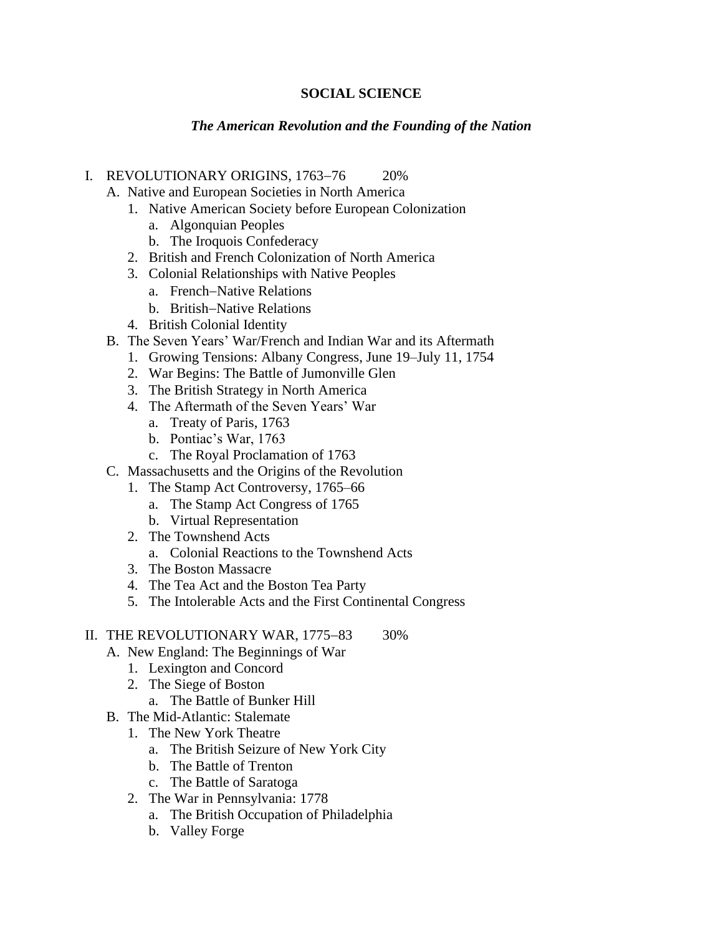## **SOCIAL SCIENCE**

### *The American Revolution and the Founding of the Nation*

#### I. REVOLUTIONARY ORIGINS, 1763−76 20%

- A. Native and European Societies in North America
	- 1. Native American Society before European Colonization
		- a. Algonquian Peoples
		- b. The Iroquois Confederacy
	- 2. British and French Colonization of North America
	- 3. Colonial Relationships with Native Peoples
		- a. French−Native Relations
		- b. British−Native Relations
	- 4. British Colonial Identity
- B. The Seven Years' War/French and Indian War and its Aftermath
	- 1. Growing Tensions: Albany Congress, June 19–July 11, 1754
	- 2. War Begins: The Battle of Jumonville Glen
	- 3. The British Strategy in North America
	- 4. The Aftermath of the Seven Years' War
		- a. Treaty of Paris, 1763
		- b. Pontiac's War, 1763
		- c. The Royal Proclamation of 1763
- C. Massachusetts and the Origins of the Revolution
	- 1. The Stamp Act Controversy, 1765–66
		- a. The Stamp Act Congress of 1765
		- b. Virtual Representation
	- 2. The Townshend Acts
		- a. Colonial Reactions to the Townshend Acts
	- 3. The Boston Massacre
	- 4. The Tea Act and the Boston Tea Party
	- 5. The Intolerable Acts and the First Continental Congress

### II. THE REVOLUTIONARY WAR, 1775−83 30%

- A. New England: The Beginnings of War
	- 1. Lexington and Concord
	- 2. The Siege of Boston
	- a. The Battle of Bunker Hill
- B. The Mid-Atlantic: Stalemate
	- 1. The New York Theatre
		- a. The British Seizure of New York City
		- b. The Battle of Trenton
		- c. The Battle of Saratoga
	- 2. The War in Pennsylvania: 1778
		- a. The British Occupation of Philadelphia
		- b. Valley Forge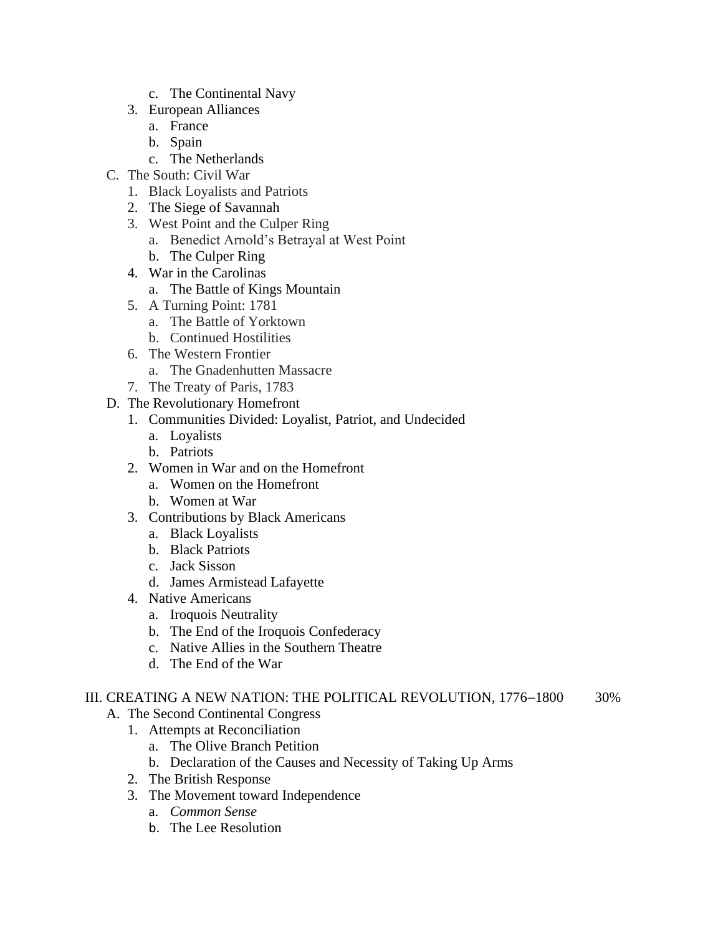- c. The Continental Navy
- 3. European Alliances
	- a. France
	- b. Spain
	- c. The Netherlands
- C. The South: Civil War
	- 1. Black Loyalists and Patriots
	- 2. The Siege of Savannah
	- 3. West Point and the Culper Ring
		- a. Benedict Arnold's Betrayal at West Point
		- b. The Culper Ring
	- 4. War in the Carolinas
		- a. The Battle of Kings Mountain
	- 5. A Turning Point: 1781
		- a. The Battle of Yorktown
		- b. Continued Hostilities
	- 6. The Western Frontier
		- a. The Gnadenhutten Massacre
	- 7. The Treaty of Paris, 1783
- D. The Revolutionary Homefront
	- 1. Communities Divided: Loyalist, Patriot, and Undecided
		- a. Loyalists
		- b. Patriots
	- 2. Women in War and on the Homefront
		- a. Women on the Homefront
		- b. Women at War
	- 3. Contributions by Black Americans
		- a. Black Loyalists
		- b. Black Patriots
		- c. Jack Sisson
		- d. James Armistead Lafayette
	- 4. Native Americans
		- a. Iroquois Neutrality
		- b. The End of the Iroquois Confederacy
		- c. Native Allies in the Southern Theatre
		- d. The End of the War

# III. CREATING A NEW NATION: THE POLITICAL REVOLUTION, 1776−1800 30%

- A. The Second Continental Congress
	- 1. Attempts at Reconciliation
		- a. The Olive Branch Petition
		- b. Declaration of the Causes and Necessity of Taking Up Arms
	- 2. The British Response
	- 3. The Movement toward Independence
		- a. *Common Sense*
		- b. The Lee Resolution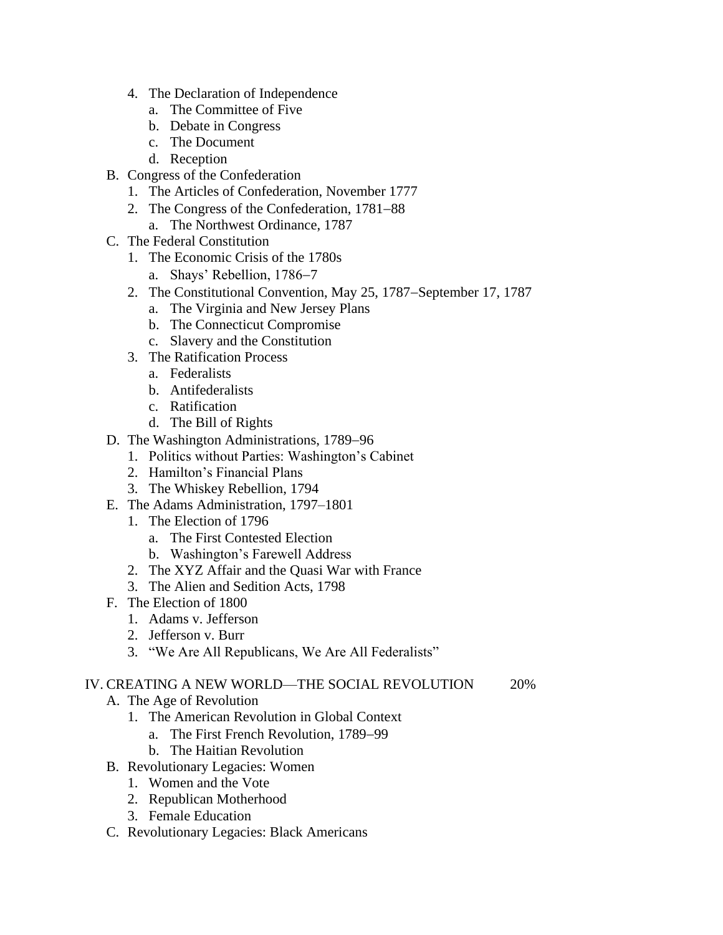- 4. The Declaration of Independence
	- a. The Committee of Five
	- b. Debate in Congress
	- c. The Document
	- d. Reception
- B. Congress of the Confederation
	- 1. The Articles of Confederation, November 1777
	- 2. The Congress of the Confederation, 1781−88
		- a. The Northwest Ordinance, 1787
- C. The Federal Constitution
	- 1. The Economic Crisis of the 1780s
		- a. Shays' Rebellion, 1786−7
	- 2. The Constitutional Convention, May 25, 1787−September 17, 1787
		- a. The Virginia and New Jersey Plans
		- b. The Connecticut Compromise
		- c. Slavery and the Constitution
	- 3. The Ratification Process
		- a. Federalists
		- b. Antifederalists
		- c. Ratification
		- d. The Bill of Rights
- D. The Washington Administrations, 1789−96
	- 1. Politics without Parties: Washington's Cabinet
	- 2. Hamilton's Financial Plans
	- 3. The Whiskey Rebellion, 1794
- E. The Adams Administration, 1797–1801
	- 1. The Election of 1796
		- a. The First Contested Election
		- b. Washington's Farewell Address
	- 2. The XYZ Affair and the Quasi War with France
	- 3. The Alien and Sedition Acts, 1798
- F. The Election of 1800
	- 1. Adams v. Jefferson
	- 2. Jefferson v. Burr
	- 3. "We Are All Republicans, We Are All Federalists"

## IV. CREATING A NEW WORLD—THE SOCIAL REVOLUTION 20%

- A. The Age of Revolution
	- 1. The American Revolution in Global Context
		- a. The First French Revolution, 1789−99
			- b. The Haitian Revolution
- B. Revolutionary Legacies: Women
	- 1. Women and the Vote
	- 2. Republican Motherhood
	- 3. Female Education
- C. Revolutionary Legacies: Black Americans